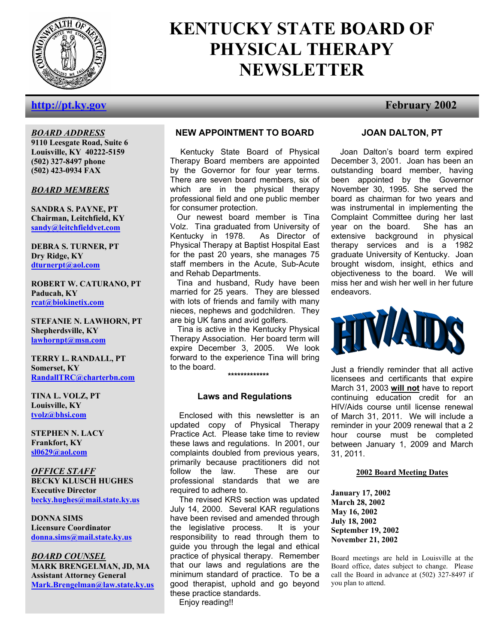

# **KENTUCKY STATE BOARD OF PHYSICAL THERAPY NEWSLETTER**

# **http://pt.ky.gov February 2002**

# *BOARD ADDRESS*

**9110 Leesgate Road, Suite 6 Louisville, KY 40222-5159 (502) 327-8497 phone (502) 423-0934 FAX** 

#### *BOARD MEMBERS*

**SANDRA S. PAYNE, PT Chairman, Leitchfield, KY sandy@leitchfieldvet.com**

**DEBRA S. TURNER, PT Dry Ridge, KY dturnerpt@aol.com**

**ROBERT W. CATURANO, PT Paducah, KY rcat@biokinetix.com**

**STEFANIE N. LAWHORN, PT Shepherdsville, KY lawhornpt@msn.com**

**TERRY L. RANDALL, PT Somerset, KY RandallTRC@charterbn.com**

**TINA L. VOLZ, PT Louisville, KY tvolz@bhsi.com**

**STEPHEN N. LACY Frankfort, KY sl0629@aol.com**

*OFFICE STAFF* **BECKY KLUSCH HUGHES Executive Director becky.hughes@mail.state.ky.us**

**DONNA SIMS Licensure Coordinator donna.sims@mail.state.ky.us**

*BOARD COUNSEL* **MARK BRENGELMAN, JD, MA Assistant Attorney General Mark.Brengelman@law.state.ky.us**

#### **NEW APPOINTMENT TO BOARD**

 Kentucky State Board of Physical Therapy Board members are appointed by the Governor for four year terms. There are seven board members, six of which are in the physical therapy professional field and one public member for consumer protection.

 Our newest board member is Tina Volz. Tina graduated from University of Kentucky in 1978. As Director of Physical Therapy at Baptist Hospital East for the past 20 years, she manages 75 staff members in the Acute, Sub-Acute and Rehab Departments.

 Tina and husband, Rudy have been married for 25 years. They are blessed with lots of friends and family with many nieces, nephews and godchildren. They are big UK fans and avid golfers.

Tina is active in the Kentucky Physical Therapy Association. Her board term will expire December 3, 2005. We look forward to the experience Tina will bring to the board.

**\*\*\*\*\*\*\*\*\*\*\*\*\*** 

#### **Laws and Regulations**

 Enclosed with this newsletter is an updated copy of Physical Therapy Practice Act. Please take time to review these laws and regulations. In 2001, our complaints doubled from previous years, primarily because practitioners did not follow the law. These are our professional standards that we are required to adhere to.

 The revised KRS section was updated July 14, 2000. Several KAR regulations have been revised and amended through the legislative process. It is your responsibility to read through them to guide you through the legal and ethical practice of physical therapy. Remember that our laws and regulations are the minimum standard of practice. To be a good therapist, uphold and go beyond these practice standards. Enjoy reading!!

# **JOAN DALTON, PT**

 Joan Dalton's board term expired December 3, 2001. Joan has been an outstanding board member, having been appointed by the Governor November 30, 1995. She served the board as chairman for two years and was instrumental in implementing the Complaint Committee during her last year on the board. She has an extensive background in physical therapy services and is a 1982 graduate University of Kentucky. Joan brought wisdom, insight, ethics and objectiveness to the board. We will miss her and wish her well in her future endeavors.



Just a friendly reminder that all active licensees and certificants that expire March 31, 2003 **will not** have to report continuing education credit for an HIV/Aids course until license renewal of March 31, 2011. We will include a reminder in your 2009 renewal that a 2 hour course must be completed between January 1, 2009 and March 31, 2011.

#### **2002 Board Meeting Dates**

**January 17, 2002 March 28, 2002 May 16, 2002 July 18, 2002 September 19, 2002 November 21, 2002** 

Board meetings are held in Louisville at the Board office, dates subject to change. Please call the Board in advance at (502) 327-8497 if you plan to attend.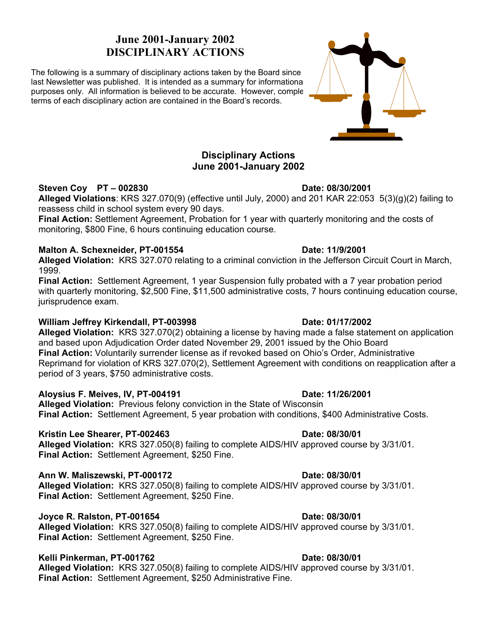# **June 2001-January 2002 DISCIPLINARY ACTIONS**

The following is a summary of disciplinary actions taken by the Board since the last Newsletter was published. It is intended as a summary for informational purposes only. All information is believed to be accurate. However, comple terms of each disciplinary action are contained in the Board's records.

### **Disciplinary Actions June 2001-January 2002**

### **Steven Coy PT – 002830 Date: 08/30/2001**

**Alleged Violations**: KRS 327.070(9) (effective until July, 2000) and 201 KAR 22:053 5(3)(g)(2) failing to reassess child in school system every 90 days.

**Final Action:** Settlement Agreement, Probation for 1 year with quarterly monitoring and the costs of monitoring, \$800 Fine, 6 hours continuing education course.

### **Malton A. Schexneider, PT-001554 Date: 11/9/2001**

**Alleged Violation:** KRS 327.070 relating to a criminal conviction in the Jefferson Circuit Court in March, 1999.

**Final Action:** Settlement Agreement, 1 year Suspension fully probated with a 7 year probation period with quarterly monitoring, \$2,500 Fine, \$11,500 administrative costs, 7 hours continuing education course, jurisprudence exam.

### **William Jeffrey Kirkendall, PT-003998 Date: 01/17/2002**

**Alleged Violation:** KRS 327.070(2) obtaining a license by having made a false statement on application and based upon Adjudication Order dated November 29, 2001 issued by the Ohio Board **Final Action:** Voluntarily surrender license as if revoked based on Ohio's Order, Administrative Reprimand for violation of KRS 327.070(2), Settlement Agreement with conditions on reapplication after a period of 3 years, \$750 administrative costs.

### **Aloysius F. Meives, IV, PT-004191 Date: 11/26/2001**

**Alleged Violation:** Previous felony conviction in the State of Wisconsin **Final Action:** Settlement Agreement, 5 year probation with conditions, \$400 Administrative Costs.

### **Kristin Lee Shearer, PT-002463 Date: 08/30/01 Date: 08/30/01**

**Alleged Violation:** KRS 327.050(8) failing to complete AIDS/HIV approved course by 3/31/01. **Final Action:** Settlement Agreement, \$250 Fine.

### **Ann W. Maliszewski, PT-000172 Date: 08/30/01**

**Alleged Violation:** KRS 327.050(8) failing to complete AIDS/HIV approved course by 3/31/01. **Final Action:** Settlement Agreement, \$250 Fine.

## **Joyce R. Ralston, PT-001654 Date: 08/30/01**

**Alleged Violation:** KRS 327.050(8) failing to complete AIDS/HIV approved course by 3/31/01. **Final Action:** Settlement Agreement, \$250 Fine.

## **Kelli Pinkerman, PT-001762** Date: 08/30/01

**Alleged Violation:** KRS 327.050(8) failing to complete AIDS/HIV approved course by 3/31/01. **Final Action:** Settlement Agreement, \$250 Administrative Fine.

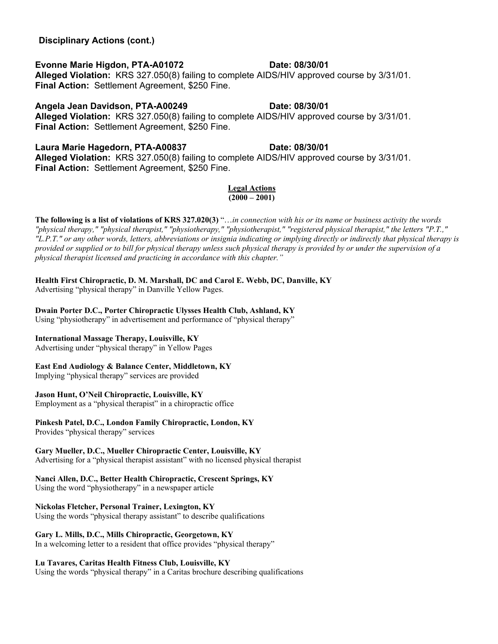# **Evonne Marie Higdon, PTA-A01072 Date: 08/30/01**

**Alleged Violation:** KRS 327.050(8) failing to complete AIDS/HIV approved course by 3/31/01. **Final Action:** Settlement Agreement, \$250 Fine.

# Angela Jean Davidson, PTA-A00249 **Date: 08/30/01**

**Alleged Violation:** KRS 327.050(8) failing to complete AIDS/HIV approved course by 3/31/01. **Final Action:** Settlement Agreement, \$250 Fine.

# Laura Marie Hagedorn, PTA-A00837 **Date: 08/30/01**

**Alleged Violation:** KRS 327.050(8) failing to complete AIDS/HIV approved course by 3/31/01. **Final Action:** Settlement Agreement, \$250 Fine.

#### **Legal Actions**  $(2000 - 2001)$

**The following is a list of violations of KRS 327.020(3)** "…*in connection with his or its name or business activity the words "physical therapy," "physical therapist," "physiotherapy," "physiotherapist," "registered physical therapist," the letters "P.T.," "L.P.T." or any other words, letters, abbreviations or insignia indicating or implying directly or indirectly that physical therapy is provided or supplied or to bill for physical therapy unless such physical therapy is provided by or under the supervision of a physical therapist licensed and practicing in accordance with this chapter."* 

# **Health First Chiropractic, D. M. Marshall, DC and Carol E. Webb, DC, Danville, KY**

Advertising "physical therapy" in Danville Yellow Pages.

# **Dwain Porter D.C., Porter Chiropractic Ulysses Health Club, Ashland, KY**

Using "physiotherapy" in advertisement and performance of "physical therapy"

### **International Massage Therapy, Louisville, KY**

Advertising under "physical therapy" in Yellow Pages

# **East End Audiology & Balance Center, Middletown, KY**

Implying "physical therapy" services are provided

### **Jason Hunt, O'Neil Chiropractic, Louisville, KY**

Employment as a "physical therapist" in a chiropractic office

## **Pinkesh Patel, D.C., London Family Chiropractic, London, KY**

Provides "physical therapy" services

### **Gary Mueller, D.C., Mueller Chiropractic Center, Louisville, KY**

Advertising for a "physical therapist assistant" with no licensed physical therapist

# **Nanci Allen, D.C., Better Health Chiropractic, Crescent Springs, KY**

Using the word "physiotherapy" in a newspaper article

# **Nickolas Fletcher, Personal Trainer, Lexington, KY**

Using the words "physical therapy assistant" to describe qualifications

# **Gary L. Mills, D.C., Mills Chiropractic, Georgetown, KY**

In a welcoming letter to a resident that office provides "physical therapy"

# **Lu Tavares, Caritas Health Fitness Club, Louisville, KY**

Using the words "physical therapy" in a Caritas brochure describing qualifications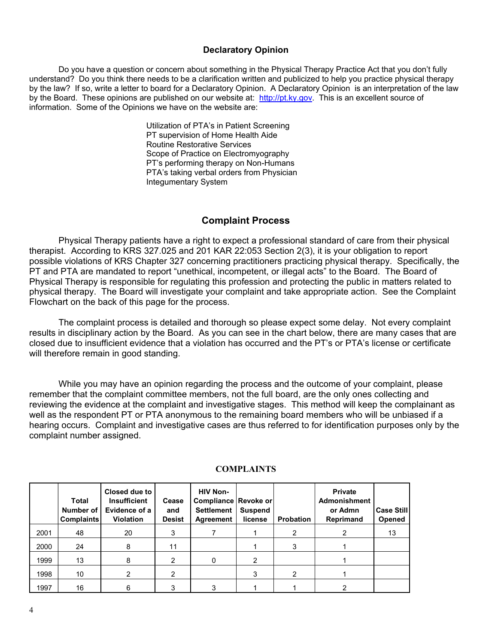#### **Declaratory Opinion**

Do you have a question or concern about something in the Physical Therapy Practice Act that you don't fully understand? Do you think there needs to be a clarification written and publicized to help you practice physical therapy by the law? If so, write a letter to board for a Declaratory Opinion. A Declaratory Opinion is an interpretation of the law by the Board. These opinions are published on our website at: http://pt.ky.gov. This is an excellent source of information. Some of the Opinions we have on the website are:

> Utilization of PTA's in Patient Screening PT supervision of Home Health Aide Routine Restorative Services Scope of Practice on Electromyography PT's performing therapy on Non-Humans PTA's taking verbal orders from Physician Integumentary System

## **Complaint Process**

Physical Therapy patients have a right to expect a professional standard of care from their physical therapist. According to KRS 327.025 and 201 KAR 22:053 Section 2(3), it is your obligation to report possible violations of KRS Chapter 327 concerning practitioners practicing physical therapy. Specifically, the PT and PTA are mandated to report "unethical, incompetent, or illegal acts" to the Board. The Board of Physical Therapy is responsible for regulating this profession and protecting the public in matters related to physical therapy. The Board will investigate your complaint and take appropriate action. See the Complaint Flowchart on the back of this page for the process.

The complaint process is detailed and thorough so please expect some delay. Not every complaint results in disciplinary action by the Board. As you can see in the chart below, there are many cases that are closed due to insufficient evidence that a violation has occurred and the PT's or PTA's license or certificate will therefore remain in good standing.

 While you may have an opinion regarding the process and the outcome of your complaint, please remember that the complaint committee members, not the full board, are the only ones collecting and reviewing the evidence at the complaint and investigative stages. This method will keep the complainant as well as the respondent PT or PTA anonymous to the remaining board members who will be unbiased if a hearing occurs. Complaint and investigative cases are thus referred to for identification purposes only by the complaint number assigned.

|      | Total<br>Number of<br><b>Complaints</b> | Closed due to<br><b>Insufficient</b><br>Evidence of a<br><b>Violation</b> | Cease<br>and<br><b>Desist</b> | <b>HIV Non-</b><br>Compliance Revoke or<br><b>Settlement</b><br>Agreement | <b>Suspend</b><br>license | Probation | <b>Private</b><br><b>Admonishment</b><br>or Admn<br>Reprimand | <b>Case Still</b><br><b>Opened</b> |
|------|-----------------------------------------|---------------------------------------------------------------------------|-------------------------------|---------------------------------------------------------------------------|---------------------------|-----------|---------------------------------------------------------------|------------------------------------|
| 2001 | 48                                      | 20                                                                        | 3                             |                                                                           |                           | 2         | 2                                                             | 13                                 |
| 2000 | 24                                      | 8                                                                         | 11                            |                                                                           |                           | 3         |                                                               |                                    |
| 1999 | 13                                      | 8                                                                         |                               |                                                                           | 2                         |           |                                                               |                                    |
| 1998 | 10                                      | າ                                                                         | 2                             |                                                                           | 3                         | 2         |                                                               |                                    |
| 1997 | 16                                      | 6                                                                         |                               | 3                                                                         |                           |           | 2                                                             |                                    |

### **COMPLAINTS**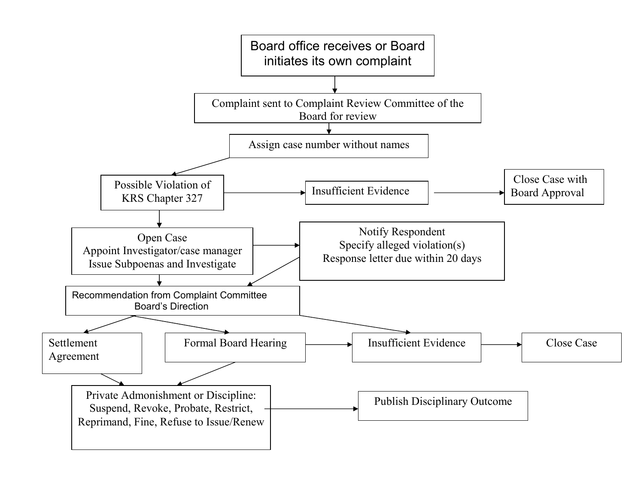